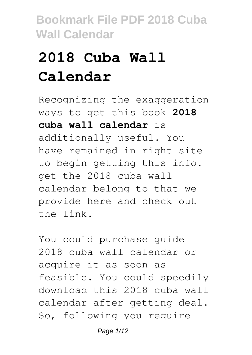# **2018 Cuba Wall Calendar**

Recognizing the exaggeration ways to get this book **2018 cuba wall calendar** is additionally useful. You have remained in right site to begin getting this info. get the 2018 cuba wall calendar belong to that we provide here and check out the link.

You could purchase guide 2018 cuba wall calendar or acquire it as soon as feasible. You could speedily download this 2018 cuba wall calendar after getting deal. So, following you require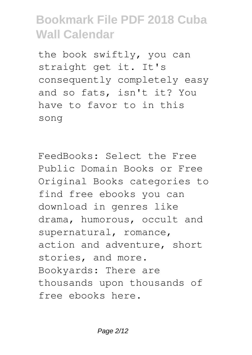the book swiftly, you can straight get it. It's consequently completely easy and so fats, isn't it? You have to favor to in this song

FeedBooks: Select the Free Public Domain Books or Free Original Books categories to find free ebooks you can download in genres like drama, humorous, occult and supernatural, romance, action and adventure, short stories, and more. Bookyards: There are thousands upon thousands of free ebooks here.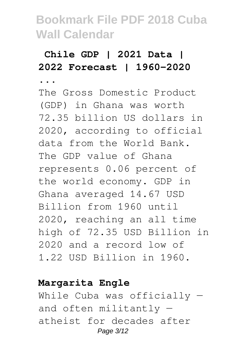### **Chile GDP | 2021 Data | 2022 Forecast | 1960-2020**

**...** The Gross Domestic Product (GDP) in Ghana was worth 72.35 billion US dollars in 2020, according to official data from the World Bank. The GDP value of Ghana represents 0.06 percent of the world economy. GDP in Ghana averaged 14.67 USD Billion from 1960 until 2020, reaching an all time high of 72.35 USD Billion in 2020 and a record low of 1.22 USD Billion in 1960.

#### **Margarita Engle**

While Cuba was officially and often militantly atheist for decades after Page 3/12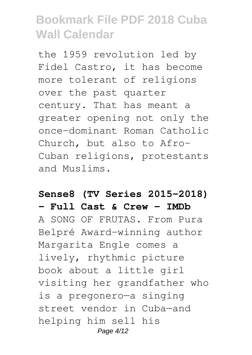the 1959 revolution led by Fidel Castro, it has become more tolerant of religions over the past quarter century. That has meant a greater opening not only the once-dominant Roman Catholic Church, but also to Afro-Cuban religions, protestants and Muslims.

### **Sense8 (TV Series 2015–2018) - Full Cast & Crew - IMDb**

A SONG OF FRUTAS. From Pura Belpré Award–winning author Margarita Engle comes a lively, rhythmic picture book about a little girl visiting her grandfather who is a pregonero—a singing street vendor in Cuba—and helping him sell his Page 4/12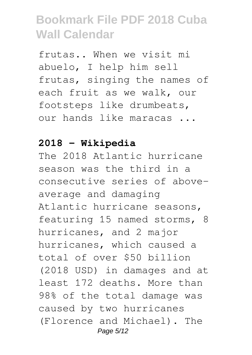frutas.. When we visit mi abuelo, I help him sell frutas, singing the names of each fruit as we walk, our footsteps like drumbeats, our hands like maracas ...

#### **2018 - Wikipedia**

The 2018 Atlantic hurricane season was the third in a consecutive series of aboveaverage and damaging Atlantic hurricane seasons, featuring 15 named storms, 8 hurricanes, and 2 major hurricanes, which caused a total of over \$50 billion (2018 USD) in damages and at least 172 deaths. More than 98% of the total damage was caused by two hurricanes (Florence and Michael). The Page 5/12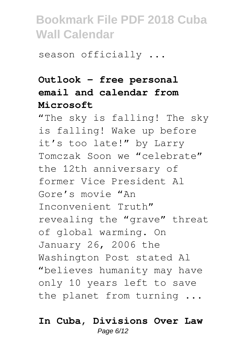season officially ...

### **Outlook – free personal email and calendar from Microsoft**

"The sky is falling! The sky is falling! Wake up before it's too late!" by Larry Tomczak Soon we "celebrate" the 12th anniversary of former Vice President Al Gore's movie "An Inconvenient Truth" revealing the "grave" threat of global warming. On January 26, 2006 the Washington Post stated Al "believes humanity may have only 10 years left to save the planet from turning ...

#### **In Cuba, Divisions Over Law** Page 6/12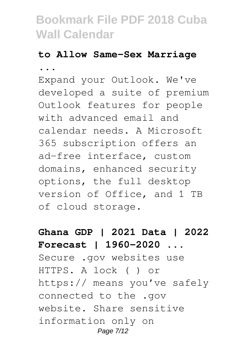#### **to Allow Same-Sex Marriage**

**...**

Expand your Outlook. We've developed a suite of premium Outlook features for people with advanced email and calendar needs. A Microsoft 365 subscription offers an ad-free interface, custom domains, enhanced security options, the full desktop version of Office, and 1 TB of cloud storage.

### **Ghana GDP | 2021 Data | 2022 Forecast | 1960-2020 ...** Secure .gov websites use HTTPS. A lock ( ) or https:// means you've safely connected to the .gov website. Share sensitive information only on Page 7/12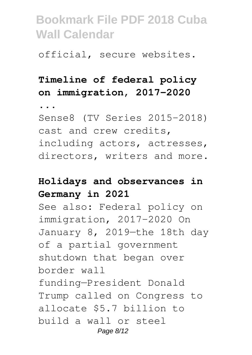official, secure websites.

### **Timeline of federal policy on immigration, 2017-2020**

**...**

Sense8 (TV Series 2015–2018) cast and crew credits, including actors, actresses, directors, writers and more.

### **Holidays and observances in Germany in 2021**

See also: Federal policy on immigration, 2017-2020 On January 8, 2019—the 18th day of a partial government shutdown that began over border wall funding—President Donald Trump called on Congress to allocate \$5.7 billion to build a wall or steel Page 8/12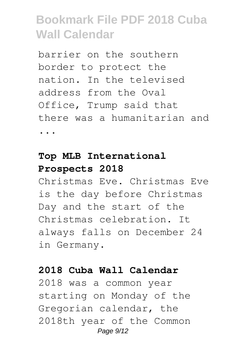barrier on the southern border to protect the nation. In the televised address from the Oval Office, Trump said that there was a humanitarian and ...

### **Top MLB International Prospects 2018**

Christmas Eve. Christmas Eve is the day before Christmas Day and the start of the Christmas celebration. It always falls on December 24 in Germany.

#### **2018 Cuba Wall Calendar**

2018 was a common year starting on Monday of the Gregorian calendar, the 2018th year of the Common Page 9/12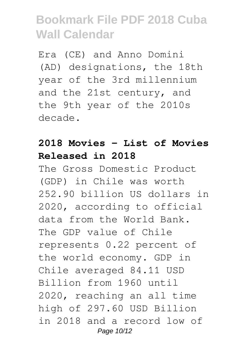Era (CE) and Anno Domini (AD) designations, the 18th year of the 3rd millennium and the 21st century, and the 9th year of the 2010s decade.

### **2018 Movies - List of Movies Released in 2018**

The Gross Domestic Product (GDP) in Chile was worth 252.90 billion US dollars in 2020, according to official data from the World Bank. The GDP value of Chile represents 0.22 percent of the world economy. GDP in Chile averaged 84.11 USD Billion from 1960 until 2020, reaching an all time high of 297.60 USD Billion in 2018 and a record low of Page 10/12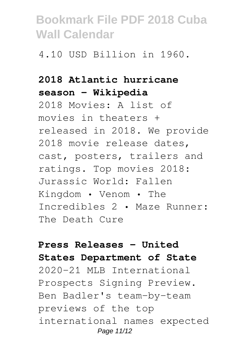4.10 USD Billion in 1960.

### **2018 Atlantic hurricane season - Wikipedia**

2018 Movies: A list of movies in theaters + released in 2018. We provide 2018 movie release dates, cast, posters, trailers and ratings. Top movies 2018: Jurassic World: Fallen Kingdom • Venom • The Incredibles 2 • Maze Runner: The Death Cure

### **Press Releases - United States Department of State**

2020-21 MLB International Prospects Signing Preview. Ben Badler's team-by-team previews of the top international names expected Page 11/12